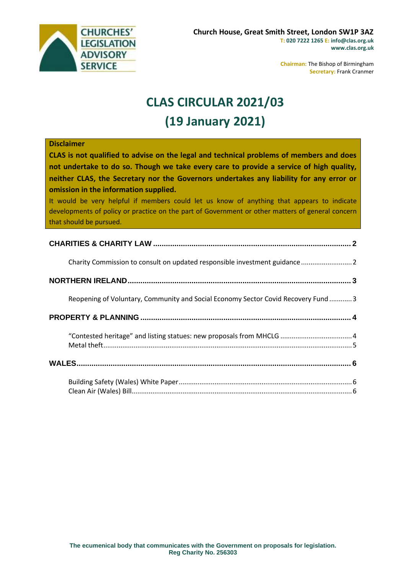

**Chairman:** The Bishop of Birmingham **Secretary:** Frank Cranmer

# **CLAS CIRCULAR 2021/03 (19 January 2021)**

#### **Disclaimer**

**CLAS is not qualified to advise on the legal and technical problems of members and does not undertake to do so. Though we take every care to provide a service of high quality, neither CLAS, the Secretary nor the Governors undertakes any liability for any error or omission in the information supplied.**

It would be very helpful if members could let us know of anything that appears to indicate developments of policy or practice on the part of Government or other matters of general concern that should be pursued.

| Charity Commission to consult on updated responsible investment guidance  2        |  |
|------------------------------------------------------------------------------------|--|
|                                                                                    |  |
| Reopening of Voluntary, Community and Social Economy Sector Covid Recovery Fund  3 |  |
|                                                                                    |  |
|                                                                                    |  |
|                                                                                    |  |
|                                                                                    |  |
|                                                                                    |  |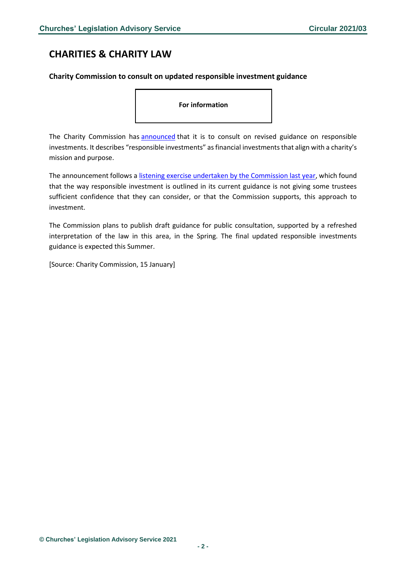# <span id="page-1-0"></span>**CHARITIES & CHARITY LAW**

### <span id="page-1-1"></span>**Charity Commission to consult on updated responsible investment guidance**

**For information**

The Charity Commission has [announced](https://www.gov.uk/government/news/charity-commission-to-consult-on-updated-responsible-investment-guidance) that it is to consult on revised guidance on responsible investments. It describes "responsible investments" as financial investments that align with a charity's mission and purpose.

The announcement follows a [listening exercise undertaken by the Commission](http://link.mediaoutreach.meltwater.com/ls/click?upn=Q0kYpMaLF40wUfMJg29O-2B9K08y15P4XHgAQykoIVmWg9ABcUWbGZ7kmDlw5vCVgkufzZlqge165Kt0G83U7QFhj76eHZZrIw562R90vaALmHpaSkcVbRmzTNBCLzZ60uEG2K-2FFmPs2QZQFRZ2bX03d-2B1vWO0fqhuurQLendbQ3etR473ZKXcaqMqoh9YLPecq4w__lHrFVg-2BxAMwltXrxrdMOseeyizrl18AsikpgLRBgdkbhbNwx6C-2FGYzNQAhUFDiUJVWXGFzTzaE-2FIgyKhZy5bKD-2FB4LP40YL73p2414mktp53B1Xa7Ul0s3waFt-2FY9I8P-2FZqV1jMq-2Fw787lqCtff5FcAO6eA-2FLzXlkQTjrGkOeDjTF8HJcTy-2B6j2TjMDWyg45fn4zweeQCqg8saxCipUAB7kyPiCDZyr5eQJ0Si-2BwNO-2FpqScoQkdaraF-2FenCxGZfLHrW46UVS9-2FNPKMHJEakCJvCh2XHqVLtiSsuo-2FDUt-2BogjeSMqcQznoes0IGwfudM61PJxTZU88St-2FPOo7DN-2BJ-2BUEfZFfiyimKDFDjRXtqrHW5OWgbBu9nCEW7Yw1iaIbbId1JYEJuDIZ9RHBLjMFCG2Qr3fB6AMzbk1NjJjIhiCA-3D) last year, which found that the way responsible investment is outlined in its current guidance is not giving some trustees sufficient confidence that they can consider, or that the Commission supports, this approach to investment.

The Commission plans to publish draft guidance for public consultation, supported by a refreshed interpretation of the law in this area, in the Spring. The final updated responsible investments guidance is expected this Summer.

[Source: Charity Commission, 15 January]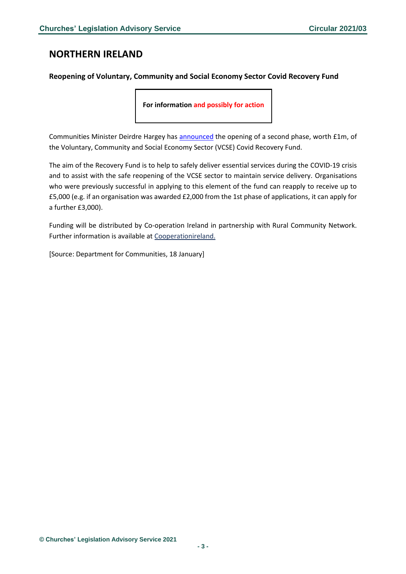# <span id="page-2-0"></span>**NORTHERN IRELAND**

### <span id="page-2-1"></span>**Reopening of Voluntary, Community and Social Economy Sector Covid Recovery Fund**

**For information and possibly for action**

Communities Minister Deirdre Hargey has [announced](https://www.communities-ni.gov.uk/news/minister-reopens-voluntary-community-and-social-economy-sector-covid-recovery-fund-0) the opening of a second phase, worth £1m, of the Voluntary, Community and Social Economy Sector (VCSE) Covid Recovery Fund.

The aim of the Recovery Fund is to help to safely deliver essential services during the COVID-19 crisis and to assist with the safe reopening of the VCSE sector to maintain service delivery. Organisations who were previously successful in applying to this element of the fund can reapply to receive up to £5,000 (e.g. if an organisation was awarded £2,000 from the 1st phase of applications, it can apply for a further £3,000).

Funding will be distributed by Co-operation Ireland in partnership with Rural Community Network. Further information is available at [Cooperationireland.](https://cooperationireland.org/projects/covid-recovery-application/)

[Source: Department for Communities, 18 January]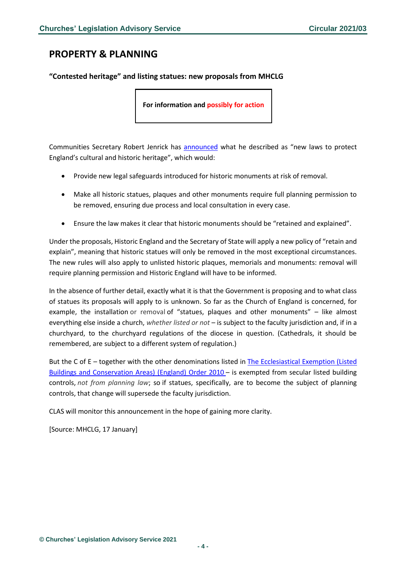# <span id="page-3-0"></span>**PROPERTY & PLANNING**

### <span id="page-3-1"></span>**"Contested heritage" and listing statues: new proposals from MHCLG**

**For information and possibly for action**

Communities Secretary Robert Jenrick has [announced](https://www.gov.uk/government/news/new-legal-protection-for-england-s-heritage?utm_medium=email&utm_campaign=govuk-notifications&utm_source=4fcdeeaa-8183-40b0-bd8e-fc30e3b72a65&utm_content=daily) what he described as "new laws to protect England's cultural and historic heritage", which would:

- Provide new legal safeguards introduced for historic monuments at risk of removal.
- Make all historic statues, plaques and other monuments require full planning permission to be removed, ensuring due process and local consultation in every case.
- Ensure the law makes it clear that historic monuments should be "retained and explained".

Under the proposals, Historic England and the Secretary of State will apply a new policy of "retain and explain", meaning that historic statues will only be removed in the most exceptional circumstances. The new rules will also apply to unlisted historic plaques, memorials and monuments: removal will require planning permission and Historic England will have to be informed.

In the absence of further detail, exactly what it is that the Government is proposing and to what class of statues its proposals will apply to is unknown. So far as the Church of England is concerned, for example, the installation or removal of "statues, plaques and other monuments" – like almost everything else inside a church, *whether listed or not* – is subject to the faculty jurisdiction and, if in a churchyard, to the churchyard regulations of the diocese in question. (Cathedrals, it should be remembered, are subject to a different system of regulation.)

But the C of E – together with the other denominations listed in The [Ecclesiastical](https://www.legislation.gov.uk/uksi/2010/1176/contents/made) Exemption (Listed Buildings and [Conservation](https://www.legislation.gov.uk/uksi/2010/1176/contents/made) Areas) (England) Order 2010 – is exempted from secular listed building controls, *not from planning law*; so if statues, specifically, are to become the subject of planning controls, that change will supersede the faculty jurisdiction.

CLAS will monitor this announcement in the hope of gaining more clarity.

[Source: MHCLG, 17 January]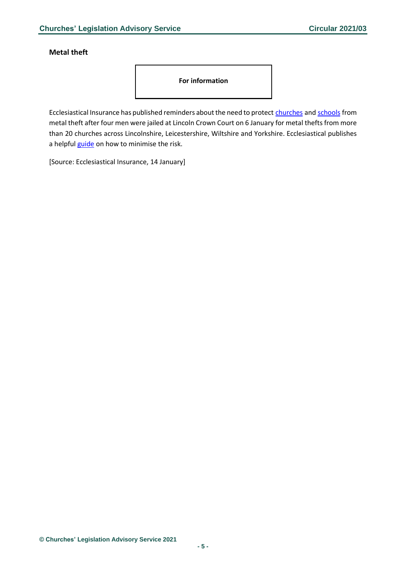### <span id="page-4-0"></span>**Metal theft**

**For information**

Ecclesiastical Insurance has published reminders about the need to protect [churches](https://www.ecclesiastical.com/risk-management/church-metal-theft/) and [schools](https://www.ecclesiastical.com/risk-management/school-metal-theft/) from metal theft after four men were jailed at Lincoln Crown Court on 6 January for metal thefts from more than 20 churches across Lincolnshire, Leicestershire, Wiltshire and Yorkshire. Ecclesiastical publishes a helpful [guide](https://www.ecclesiastical.com/documents/churchMetalTheftGuidance.pdf) on how to minimise the risk.

[Source: Ecclesiastical Insurance, 14 January]